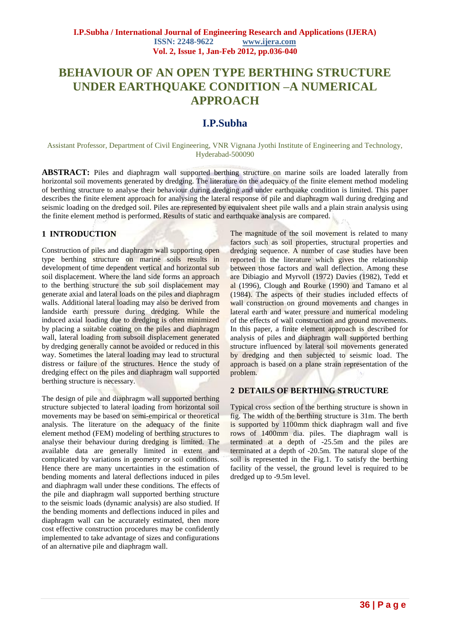# **BEHAVIOUR OF AN OPEN TYPE BERTHING STRUCTURE UNDER EARTHQUAKE CONDITION –A NUMERICAL APPROACH**

# **I.P.Subha**

Assistant Professor, Department of Civil Engineering, VNR Vignana Jyothi Institute of Engineering and Technology, Hyderabad-500090

**ABSTRACT:** Piles and diaphragm wall supported berthing structure on marine soils are loaded laterally from horizontal soil movements generated by dredging. The literature on the adequacy of the finite element method modeling of berthing structure to analyse their behaviour during dredging and under earthquake condition is limited. This paper describes the finite element approach for analysing the lateral response of pile and diaphragm wall during dredging and seismic loading on the dredged soil. Piles are represented by equivalent sheet pile walls and a plain strain analysis using the finite element method is performed. Results of static and earthquake analysis are compared.

# **1 INTRODUCTION**

Construction of piles and diaphragm wall supporting open type berthing structure on marine soils results in development of time dependent vertical and horizontal sub soil displacement. Where the land side forms an approach to the berthing structure the sub soil displacement may generate axial and lateral loads on the piles and diaphragm walls. Additional lateral loading may also be derived from landside earth pressure during dredging. While the induced axial loading due to dredging is often minimized by placing a suitable coating on the piles and diaphragm wall, lateral loading from subsoil displacement generated by dredging generally cannot be avoided or reduced in this way. Sometimes the lateral loading may lead to structural distress or failure of the structures. Hence the study of dredging effect on the piles and diaphragm wall supported berthing structure is necessary.

The design of pile and diaphragm wall supported berthing structure subjected to lateral loading from horizontal soil movements may be based on semi-empirical or theoretical analysis. The literature on the adequacy of the finite element method (FEM) modeling of berthing structures to analyse their behaviour during dredging is limited. The available data are generally limited in extent and complicated by variations in geometry or soil conditions. Hence there are many uncertainties in the estimation of bending moments and lateral deflections induced in piles and diaphragm wall under these conditions. The effects of the pile and diaphragm wall supported berthing structure to the seismic loads (dynamic analysis) are also studied. If the bending moments and deflections induced in piles and diaphragm wall can be accurately estimated, then more cost effective construction procedures may be confidently implemented to take advantage of sizes and configurations of an alternative pile and diaphragm wall.

The magnitude of the soil movement is related to many factors such as soil properties, structural properties and dredging sequence. A number of case studies have been reported in the literature which gives the relationship between those factors and wall deflection. Among these are Dibiagio and Myrvoll (1972) Davies (1982), Tedd et al (1996), Clough and Rourke (1990) and Tamano et al (1984). The aspects of their studies included effects of wall construction on ground movements and changes in lateral earth and water pressure and numerical modeling of the effects of wall construction and ground movements. In this paper, a finite element approach is described for analysis of piles and diaphragm wall supported berthing structure influenced by lateral soil movements generated by dredging and then subjected to seismic load. The approach is based on a plane strain representation of the problem.

#### **2 DETAILS OF BERTHING STRUCTURE**

Typical cross section of the berthing structure is shown in fig. The width of the berthing structure is 31m. The berth is supported by 1100mm thick diaphragm wall and five rows of 1400mm dia. piles. The diaphragm wall is terminated at a depth of -25.5m and the piles are terminated at a depth of -20.5m. The natural slope of the soil is represented in the Fig.1. To satisfy the berthing facility of the vessel, the ground level is required to be dredged up to -9.5m level.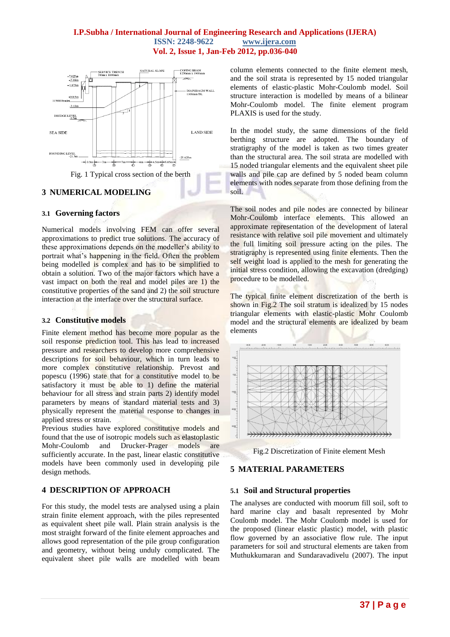# **I.P.Subha / International Journal of Engineering Research and Applications (IJERA) ISSN: 2248-9622 www.ijera.com Vol. 2, Issue 1, Jan-Feb 2012, pp.036-040**



# **3 NUMERICAL MODELING**

#### **3.1 Governing factors**

Numerical models involving FEM can offer several approximations to predict true solutions. The accuracy of these approximations depends on the modeller's ability to portrait what's happening in the field. Often the problem being modelled is complex and has to be simplified to obtain a solution. Two of the major factors which have a vast impact on both the real and model piles are 1) the constitutive properties of the sand and 2) the soil structure interaction at the interface over the structural surface.

#### **3.2 Constitutive models**

Finite element method has become more popular as the soil response prediction tool. This has lead to increased pressure and researchers to develop more comprehensive descriptions for soil behaviour, which in turn leads to more complex constitutive relationship. Prevost and popescu (1996) state that for a constitutive model to be satisfactory it must be able to 1) define the material behaviour for all stress and strain parts 2) identify model parameters by means of standard material tests and 3) physically represent the material response to changes in applied stress or strain.

Previous studies have explored constitutive models and found that the use of isotropic models such as elastoplastic Mohr-Coulomb and Drucker-Prager models are sufficiently accurate. In the past, linear elastic constitutive models have been commonly used in developing pile design methods.

# **4 DESCRIPTION OF APPROACH**

For this study, the model tests are analysed using a plain strain finite element approach, with the piles represented as equivalent sheet pile wall. Plain strain analysis is the most straight forward of the finite element approaches and allows good representation of the pile group configuration and geometry, without being unduly complicated. The equivalent sheet pile walls are modelled with beam column elements connected to the finite element mesh, and the soil strata is represented by 15 noded triangular elements of elastic-plastic Mohr-Coulomb model. Soil structure interaction is modelled by means of a bilinear Mohr-Coulomb model. The finite element program PLAXIS is used for the study.

In the model study, the same dimensions of the field berthing structure are adopted. The boundary of stratigraphy of the model is taken as two times greater than the structural area. The soil strata are modelled with 15 noded triangular elements and the equivalent sheet pile walls and pile cap are defined by 5 noded beam column elements with nodes separate from those defining from the soil.

The soil nodes and pile nodes are connected by bilinear Mohr-Coulomb interface elements. This allowed an approximate representation of the development of lateral resistance with relative soil pile movement and ultimately the full limiting soil pressure acting on the piles. The stratigraphy is represented using finite elements. Then the self weight load is applied to the mesh for generating the initial stress condition, allowing the excavation (dredging) procedure to be modelled.

The typical finite element discretization of the berth is shown in Fig.2 The soil stratum is idealized by 15 nodes triangular elements with elastic-plastic Mohr Coulomb model and the structural elements are idealized by beam elements





# **5 MATERIAL PARAMETERS**

#### **5.1 Soil and Structural properties**

The analyses are conducted with moorum fill soil, soft to hard marine clay and basalt represented by Mohr Coulomb model. The Mohr Coulomb model is used for the proposed (linear elastic plastic) model, with plastic flow governed by an associative flow rule. The input parameters for soil and structural elements are taken from Muthukkumaran and Sundaravadivelu (2007). The input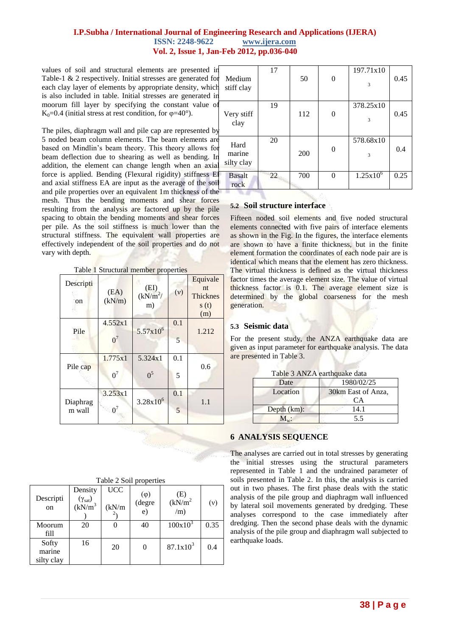## **I.P.Subha / International Journal of Engineering Research and Applications (IJERA) ISSN: 2248-9622 www.ijera.com Vol. 2, Issue 1, Jan-Feb 2012, pp.036-040**

values of soil and structural elements are presented in Table-1 & 2 respectively. Initial stresses are generated for each clay layer of elements by appropriate density, which is also included in table. Initial stresses are generated in moorum fill layer by specifying the constant value of K<sub>0</sub>=0.4 (initial stress at rest condition, for  $\varphi$ =40°).

The piles, diaphragm wall and pile cap are represented by 5 noded beam column elements. The beam elements are based on Mindlin's beam theory. This theory allows for beam deflection due to shearing as well as bending. In addition, the element can change length when an axial force is applied. Bending (Flexural rigidity) stiffness El and axial stiffness EA are input as the average of the soil and pile properties over an equivalent 1m thickness of the mesh. Thus the bending moments and shear forces resulting from the analysis are factored up by the pile spacing to obtain the bending moments and shear forces per pile. As the soil stiffness is much lower than the structural stiffness. The equivalent wall properties are effectively independent of the soil properties and do not vary with depth.

| Table 1 Structural member properties |  |  |  |  |
|--------------------------------------|--|--|--|--|
|--------------------------------------|--|--|--|--|

| Descripti<br>on    | (EA)<br>(kN/m)   | (EI)<br>$(kN/m^2/$<br>m)  | (v)      | Equivale<br>nt<br><b>Thicknes</b><br>s(t)<br>(m) |
|--------------------|------------------|---------------------------|----------|--------------------------------------------------|
| Pile               | 4.552x1<br>$0^7$ | $5.57x10^{6}$             | 0.1<br>5 | 1.212                                            |
| Pile cap           | 1.775x1<br>$0^7$ | 5.324x1<br>0 <sup>5</sup> | 0.1<br>5 | 0.6                                              |
| Diaphrag<br>m wall | 3.253x1<br>$0^7$ | $3.28x10^{6}$             | 0.1<br>5 | 1.1                                              |

| Descripti<br>on               | Density<br>$\frac{(\gamma_{sat})}{(kN/m^3)}$ | <b>UCC</b><br>(kN/m) | $(\varphi)$<br>(degre<br>$\epsilon$ ) | (E)<br>(kN/m <sup>2</sup> )<br>(m) | (v)  |
|-------------------------------|----------------------------------------------|----------------------|---------------------------------------|------------------------------------|------|
| Moorum<br>fill                | 20                                           |                      | 40                                    | $100x10^3$                         | 0.35 |
| Softy<br>marine<br>silty clay | 16                                           | 20                   | 0                                     | $87.1x10^3$                        | 0.4  |

Table 2 Soil properties

| Medium<br>stiff clay         | 17 | 50  | $\overline{0}$ | 197.71x10<br>3 | 0.45 |
|------------------------------|----|-----|----------------|----------------|------|
| Very stiff<br>clay           | 19 | 112 | 0              | 378.25x10<br>3 | 0.45 |
| Hard<br>marine<br>silty clay | 20 | 200 | $\theta$       | 578.68x10<br>3 | 0.4  |
| <b>Basalt</b><br>rock        | 22 | 700 | 0              | $1.25x10^{6}$  | 0.25 |

#### **5.2 Soil structure interface**

Fifteen noded soil elements and five noded structural elements connected with five pairs of interface elements as shown in the Fig. In the figures, the interface elements are shown to have a finite thickness, but in the finite element formation the coordinates of each node pair are is identical which means that the element has zero thickness. The virtual thickness is defined as the virtual thickness factor times the average element size. The value of virtual thickness factor is 0.1. The average element size is determined by the global coarseness for the mesh generation.

#### **5.3 Seismic data**

For the present study, the ANZA earthquake data are given as input parameter for earthquake analysis. The data are presented in Table 3.

|  | Table 3 ANZA earthquake data |  |
|--|------------------------------|--|
|  |                              |  |

| 1 ac 10 - 1 11 121 - 0ai chunan chun |                          |  |
|--------------------------------------|--------------------------|--|
| Date                                 | 1980/02/25               |  |
| Location                             | 30km East of Anza,<br>CА |  |
| Depth $(km)$ :                       | 14.1                     |  |
|                                      | 5.5                      |  |

# **6 ANALYSIS SEQUENCE**

The analyses are carried out in total stresses by generating the initial stresses using the structural parameters represented in Table 1 and the undrained parameter of soils presented in Table 2. In this, the analysis is carried out in two phases. The first phase deals with the static analysis of the pile group and diaphragm wall influenced by lateral soil movements generated by dredging. These analyses correspond to the case immediately after dredging. Then the second phase deals with the dynamic analysis of the pile group and diaphragm wall subjected to earthquake loads.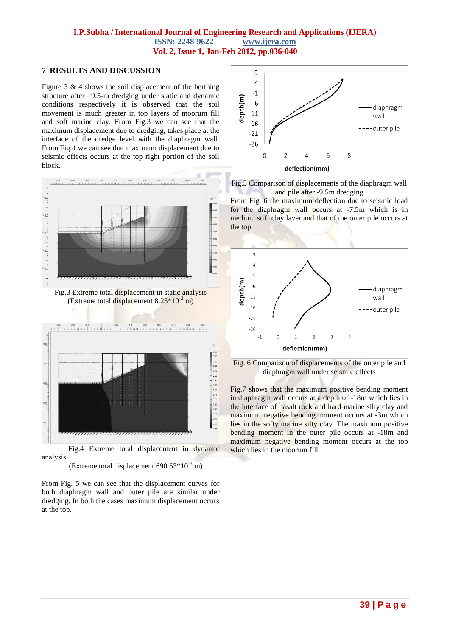## **I.P.Subha / International Journal of Engineering Research and Applications (IJERA) ISSN: 2248-9622 www.ijera.com Vol. 2, Issue 1, Jan-Feb 2012, pp.036-040**

## **7 RESULTS AND DISCUSSION**

Figure 3  $\&$  4 shows the soil displacement of the berthing structure after –9.5-m dredging under static and dynamic conditions respectively it is observed that the soil movement is much greater in top layers of moorum fill and soft marine clay. From Fig.3 we can see that the maximum displacement due to dredging, takes place at the interface of the dredge level with the diaphragm wall. From Fig.4 we can see that maximum displacement due to seismic effects occurs at the top right portion of the soil block.



 Fig.4 Extreme total displacement in dynamic analysis

(Extreme total displacement  $690.53*10^{-3}$  m)

From Fig. 5 we can see that the displacement curves for both diaphragm wall and outer pile are similar under dredging. In both the cases maximum displacement occurs at the top.



Fig.5 Comparison of displacements of the diaphragm wall and pile after -9.5m dredging

From Fig. 6 the maximum deflection due to seismic load for the diaphragm wall occurs at -7.5m which is in medium stiff clay layer and that of the outer pile occurs at the top.





Fig.7 shows that the maximum positive bending moment in diaphragm wall occurs at a depth of -18m which lies in the interface of basalt rock and hard marine silty clay and maximum negative bending moment occurs at -3m which lies in the softy marine silty clay. The maximum positive bending moment in the outer pile occurs at -18m and maximum negative bending moment occurs at the top which lies in the moorum fill.